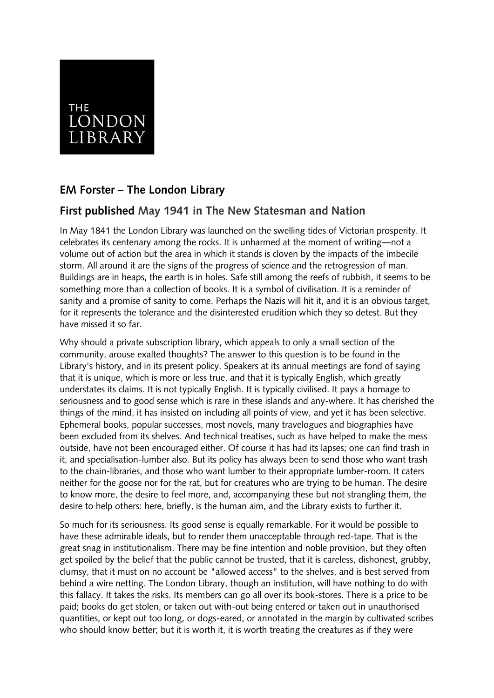## THE LONDON LIBRARY

## **EM Forster – The London Library**

## **First published May 1941 in The New Statesman and Nation**

In May 1841 the London Library was launched on the swelling tides of Victorian prosperity. It celebrates its centenary among the rocks. It is unharmed at the moment of writing—not a volume out of action but the area in which it stands is cloven by the impacts of the imbecile storm. All around it are the signs of the progress of science and the retrogression of man. Buildings are in heaps, the earth is in holes. Safe still among the reefs of rubbish, it seems to be something more than a collection of books. It is a symbol of civilisation. It is a reminder of sanity and a promise of sanity to come. Perhaps the Nazis will hit it, and it is an obvious target, for it represents the tolerance and the disinterested erudition which they so detest. But they have missed it so far.

Why should a private subscription library, which appeals to only a small section of the community, arouse exalted thoughts? The answer to this question is to be found in the Library's history, and in its present policy. Speakers at its annual meetings are fond of saying that it is unique, which is more or less true, and that it is typically English, which greatly understates its claims. It is not typically English. It is typically civilised. It pays a homage to seriousness and to good sense which is rare in these islands and any-where. It has cherished the things of the mind, it has insisted on including all points of view, and yet it has been selective. Ephemeral books, popular successes, most novels, many travelogues and biographies have been excluded from its shelves. And technical treatises, such as have helped to make the mess outside, have not been encouraged either. Of course it has had its lapses; one can find trash in it, and specialisation-lumber also. But its policy has always been to send those who want trash to the chain-libraries, and those who want lumber to their appropriate lumber-room. It caters neither for the goose nor for the rat, but for creatures who are trying to be human. The desire to know more, the desire to feel more, and, accompanying these but not strangling them, the desire to help others: here, briefly, is the human aim, and the Library exists to further it.

So much for its seriousness. Its good sense is equally remarkable. For it would be possible to have these admirable ideals, but to render them unacceptable through red-tape. That is the great snag in institutionalism. There may be fine intention and noble provision, but they often get spoiled by the belief that the public cannot be trusted, that it is careless, dishonest, grubby, clumsy, that it must on no account be "allowed access" to the shelves, and is best served from behind a wire netting. The London Library, though an institution, will have nothing to do with this fallacy. It takes the risks. Its members can go all over its book-stores. There is a price to be paid; books do get stolen, or taken out with-out being entered or taken out in unauthorised quantities, or kept out too long, or dogs-eared, or annotated in the margin by cultivated scribes who should know better; but it is worth it, it is worth treating the creatures as if they were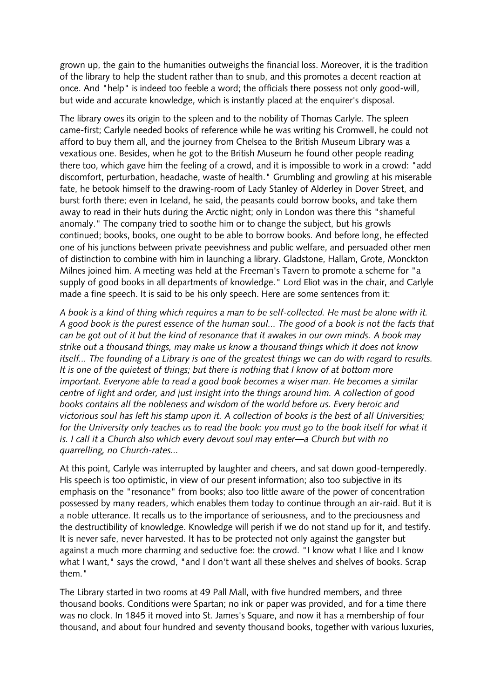grown up, the gain to the humanities outweighs the financial loss. Moreover, it is the tradition of the library to help the student rather than to snub, and this promotes a decent reaction at once. And "help" is indeed too feeble a word; the officials there possess not only good-will, but wide and accurate knowledge, which is instantly placed at the enquirer's disposal.

The library owes its origin to the spleen and to the nobility of Thomas Carlyle. The spleen came-first; Carlyle needed books of reference while he was writing his Cromwell, he could not afford to buy them all, and the journey from Chelsea to the British Museum Library was a vexatious one. Besides, when he got to the British Museum he found other people reading there too, which gave him the feeling of a crowd, and it is impossible to work in a crowd: "add discomfort, perturbation, headache, waste of health." Grumbling and growling at his miserable fate, he betook himself to the drawing-room of Lady Stanley of Alderley in Dover Street, and burst forth there; even in Iceland, he said, the peasants could borrow books, and take them away to read in their huts during the Arctic night; only in London was there this "shameful anomaly." The company tried to soothe him or to change the subject, but his growls continued; books, books, one ought to be able to borrow books. And before long, he effected one of his junctions between private peevishness and public welfare, and persuaded other men of distinction to combine with him in launching a library. Gladstone, Hallam, Grote, Monckton Milnes joined him. A meeting was held at the Freeman's Tavern to promote a scheme for "a supply of good books in all departments of knowledge." Lord Eliot was in the chair, and Carlyle made a fine speech. It is said to be his only speech. Here are some sentences from it:

*A book is a kind of thing which requires a man to be self-collected. He must be alone with it. A good book is the purest essence of the human soul... The good of a book is not the facts that can be got out of it but the kind of resonance that it awakes in our own minds. A book may strike out a thousand things, may make us know a thousand things which it does not know itself... The founding of a Library is one of the greatest things we can do with regard to results. It is one of the quietest of things; but there is nothing that I know of at bottom more important. Everyone able to read a good book becomes a wiser man. He becomes a similar centre of light and order, and just insight into the things around him. A collection of good books contains all the nobleness and wisdom of the world before us. Every heroic and victorious soul has left his stamp upon it. A collection of books is the best of all Universities; for the University only teaches us to read the book: you must go to the book itself for what it is. I call it a Church also which every devout soul may enter—a Church but with no quarrelling, no Church-rates...* 

At this point, Carlyle was interrupted by laughter and cheers, and sat down good-temperedly. His speech is too optimistic, in view of our present information; also too subjective in its emphasis on the "resonance" from books; also too little aware of the power of concentration possessed by many readers, which enables them today to continue through an air-raid. But it is a noble utterance. It recalls us to the importance of seriousness, and to the preciousness and the destructibility of knowledge. Knowledge will perish if we do not stand up for it, and testify. It is never safe, never harvested. It has to be protected not only against the gangster but against a much more charming and seductive foe: the crowd. "I know what I like and I know what I want," says the crowd, "and I don't want all these shelves and shelves of books. Scrap them."

The Library started in two rooms at 49 Pall Mall, with five hundred members, and three thousand books. Conditions were Spartan; no ink or paper was provided, and for a time there was no clock. In 1845 it moved into St. James's Square, and now it has a membership of four thousand, and about four hundred and seventy thousand books, together with various luxuries,